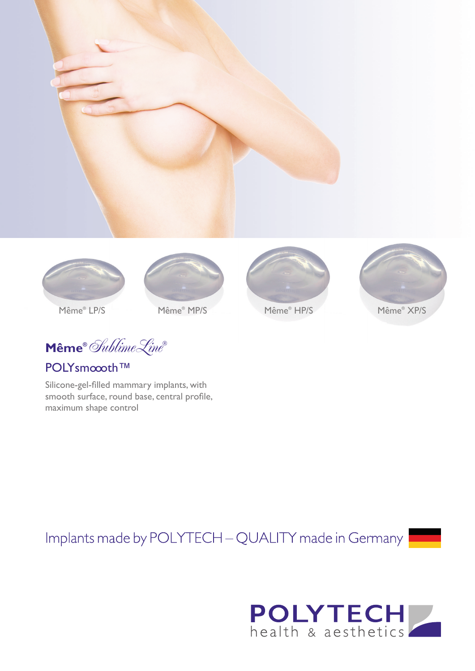



Même® MP/S

 $\textbf{Même}^{\circ}$  Sublime Line

## POLYsmoooth™

Silicone-gel-filled mammary implants, with smooth surface, round base, central profile, maximum shape control

Implants made by POLYTECH - QUALITY made in Germany



Même® HP/S



Même® XP/S